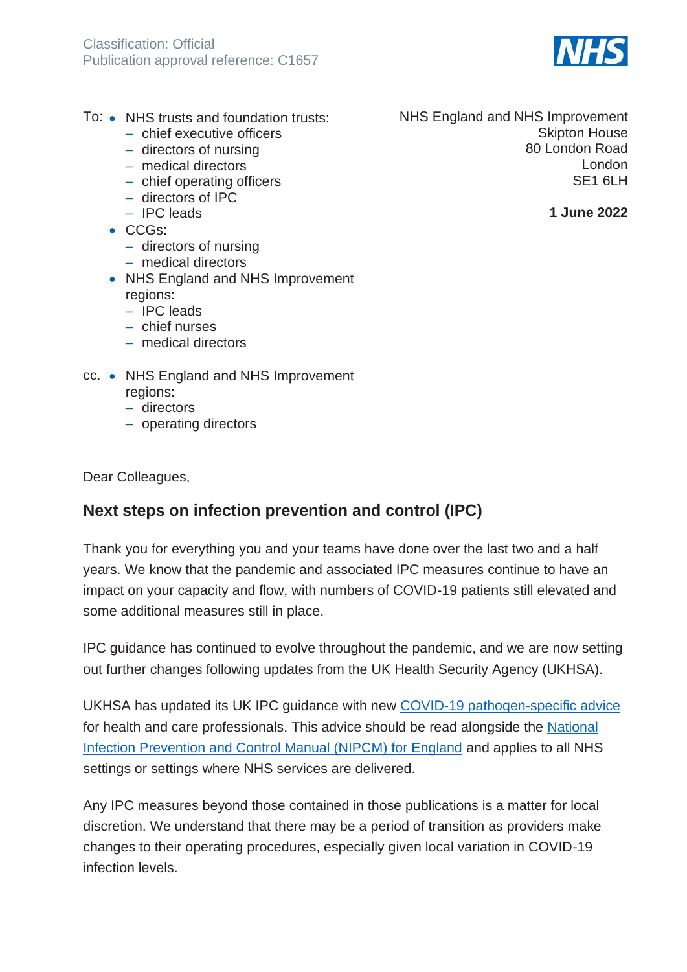

- To: NHS trusts and foundation trusts:
	- chief executive officers ‒ directors of nursing
	- medical directors
	- chief operating officers
	- ‒ directors of IPC
	- ‒ IPC leads
	- CCGs:
		- directors of nursing
		- ‒ medical directors
	- NHS England and NHS Improvement regions:
		- $-$  IPC leads
		- ‒ chief nurses
		- ‒ medical directors
- cc. NHS England and NHS Improvement regions:
	- ‒ directors
	- operating directors

Dear Colleagues,

# **Next steps on infection prevention and control (IPC)**

Thank you for everything you and your teams have done over the last two and a half years. We know that the pandemic and associated IPC measures continue to have an impact on your capacity and flow, with numbers of COVID-19 patients still elevated and some additional measures still in place.

IPC guidance has continued to evolve throughout the pandemic, and we are now setting out further changes following updates from the UK Health Security Agency (UKHSA).

UKHSA has updated its UK IPC guidance with new [COVID-19 pathogen-specific advice](https://www.gov.uk/guidance/covid-19-information-and-advice-for-health-and-care-professionals) for health and care professionals. This advice should be read alongside the [National](https://www.england.nhs.uk/publication/national-infection-prevention-and-control/)  [Infection Prevention and Control Manual \(NIPCM\) for England](https://www.england.nhs.uk/publication/national-infection-prevention-and-control/) and applies to all NHS settings or settings where NHS services are delivered.

Any IPC measures beyond those contained in those publications is a matter for local discretion. We understand that there may be a period of transition as providers make changes to their operating procedures, especially given local variation in COVID-19 infection levels.

NHS England and NHS Improvement Skipton House 80 London Road London SF<sub>1</sub> 6LH

**1 June 2022**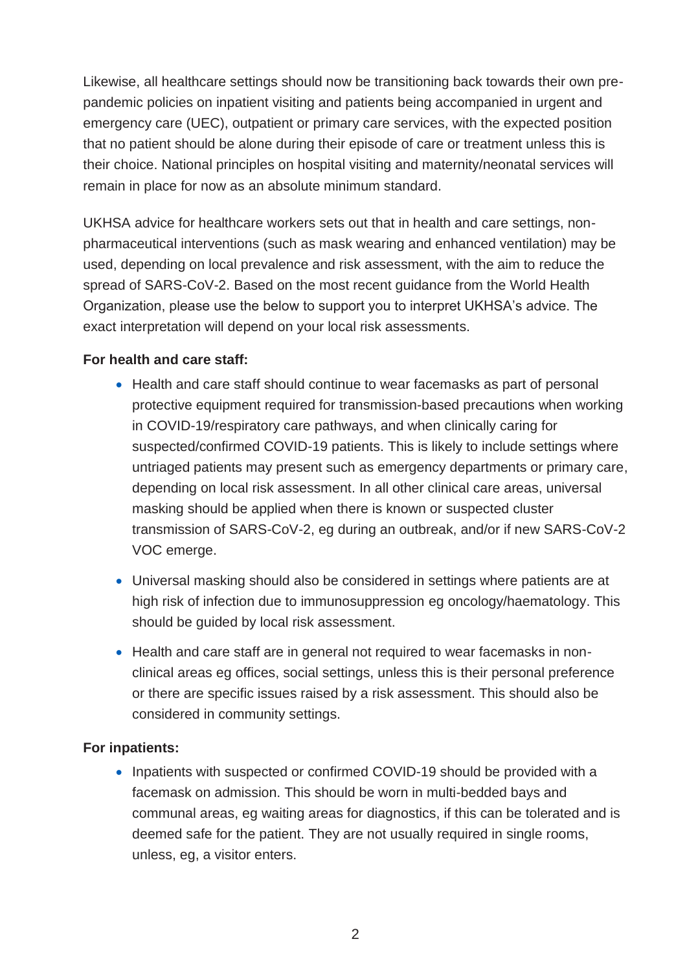Likewise, all healthcare settings should now be transitioning back towards their own prepandemic policies on inpatient visiting and patients being accompanied in urgent and emergency care (UEC), outpatient or primary care services, with the expected position that no patient should be alone during their episode of care or treatment unless this is their choice. National principles on hospital visiting and maternity/neonatal services will remain in place for now as an absolute minimum standard.

UKHSA advice for healthcare workers sets out that in health and care settings, nonpharmaceutical interventions (such as mask wearing and enhanced ventilation) may be used, depending on local prevalence and risk assessment, with the aim to reduce the spread of SARS-CoV-2. Based on the most recent guidance from the World Health Organization, please use the below to support you to interpret UKHSA's advice. The exact interpretation will depend on your local risk assessments.

## **For health and care staff:**

- Health and care staff should continue to wear facemasks as part of personal protective equipment required for transmission-based precautions when working in COVID-19/respiratory care pathways, and when clinically caring for suspected/confirmed COVID-19 patients. This is likely to include settings where untriaged patients may present such as emergency departments or primary care, depending on local risk assessment. In all other clinical care areas, universal masking should be applied when there is known or suspected cluster transmission of SARS-CoV-2, eg during an outbreak, and/or if new SARS-CoV-2 VOC emerge.
- Universal masking should also be considered in settings where patients are at high risk of infection due to immunosuppression eg oncology/haematology. This should be guided by local risk assessment.
- Health and care staff are in general not required to wear facemasks in nonclinical areas eg offices, social settings, unless this is their personal preference or there are specific issues raised by a risk assessment. This should also be considered in community settings.

## **For inpatients:**

• Inpatients with suspected or confirmed COVID-19 should be provided with a facemask on admission. This should be worn in multi-bedded bays and communal areas, eg waiting areas for diagnostics, if this can be tolerated and is deemed safe for the patient. They are not usually required in single rooms, unless, eg, a visitor enters.